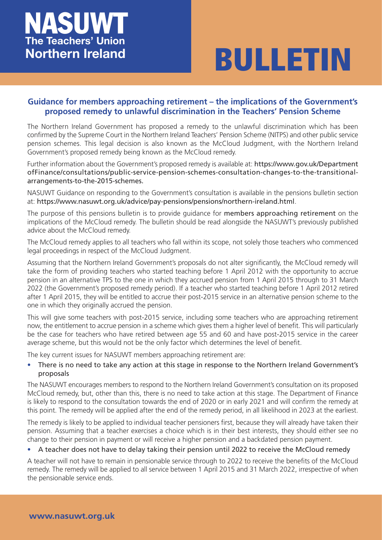## NASUWT **The Teachers' Union Northern Ireland**

# **BULLETIN**

### **Guidance for members approaching retirement – the implications of the Government's proposed remedy to unlawful discrimination in the Teachers' Pension Scheme**

The Northern Ireland Government has proposed a remedy to the unlawful discrimination which has been confirmed by the Supreme Court in the Northern Ireland Teachers' Pension Scheme (NITPS) and other public service pension schemes. This legal decision is also known as the McCloud Judgment, with the Northern Ireland Government's proposed remedy being known as the McCloud remedy.

Further information about the Government's proposed remedy is available at: https://www.gov.uk/Department ofFinance/consultations/public-service-pension-schemes-consultation-changes-to-the-transitionalarrangements-to-the-2015-schemes.

NASUWT Guidance on responding to the Government's consultation is available in the pensions bulletin section at: https://www.nasuwt.org.uk/advice/pay-pensions/pensions/northern-ireland.html.

The purpose of this pensions bulletin is to provide guidance for members approaching retirement on the implications of the McCloud remedy. The bulletin should be read alongside the NASUWT's previously published advice about the McCloud remedy.

The McCloud remedy applies to all teachers who fall within its scope, not solely those teachers who commenced legal proceedings in respect of the McCloud Judgment.

Assuming that the Northern Ireland Government's proposals do not alter significantly, the McCloud remedy will take the form of providing teachers who started teaching before 1 April 2012 with the opportunity to accrue pension in an alternative TPS to the one in which they accrued pension from 1 April 2015 through to 31 March 2022 (the Government's proposed remedy period). If a teacher who started teaching before 1 April 2012 retired after 1 April 2015, they will be entitled to accrue their post-2015 service in an alternative pension scheme to the one in which they originally accrued the pension.

This will give some teachers with post-2015 service, including some teachers who are approaching retirement now, the entitlement to accrue pension in a scheme which gives them a higher level of benefit. This will particularly be the case for teachers who have retired between age 55 and 60 and have post-2015 service in the career average scheme, but this would not be the only factor which determines the level of benefit.

The key current issues for NASUWT members approaching retirement are:

• There is no need to take any action at this stage in response to the Northern Ireland Government's proposals

The NASUWT encourages members to respond to the Northern Ireland Government's consultation on its proposed McCloud remedy, but, other than this, there is no need to take action at this stage. The Department of Finance is likely to respond to the consultation towards the end of 2020 or in early 2021 and will confirm the remedy at this point. The remedy will be applied after the end of the remedy period, in all likelihood in 2023 at the earliest.

The remedy is likely to be applied to individual teacher pensioners first, because they will already have taken their pension. Assuming that a teacher exercises a choice which is in their best interests, they should either see no change to their pension in payment or will receive a higher pension and a backdated pension payment.

#### • A teacher does not have to delay taking their pension until 2022 to receive the McCloud remedy

A teacher will not have to remain in pensionable service through to 2022 to receive the benefits of the McCloud remedy. The remedy will be applied to all service between 1 April 2015 and 31 March 2022, irrespective of when the pensionable service ends.